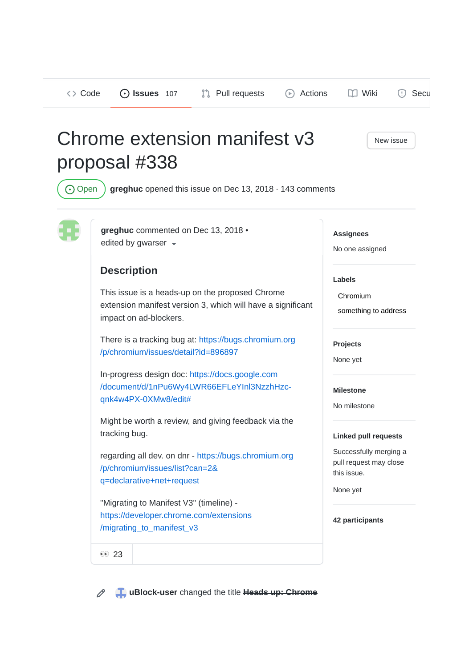Code **Issues** 107 Pull requests Actions Wiki Security

# Chrome extension manifest v3 proposal #338

New issue

Open **greghuc** opened this issue on Dec 13, 2018 · 143 comments



**greghuc** commented on Dec 13, 2018 • edited by gwarser  $\sim$ 

## **Description**

This issue is a heads-up on the proposed Chrome extension manifest version 3, which will have a significant impact on ad-blockers.

There is a tracking bug at: https://bugs.chromium.org /p/chromium/issues/detail?id=896897

In-progress design doc: https://docs.google.com /document/d/1nPu6Wy4LWR66EFLeYInl3NzzhHzcqnk4w4PX-0XMw8/edit#

Might be worth a review, and giving feedback via the tracking bug.

regarding all dev. on dnr - https://bugs.chromium.org /p/chromium/issues/list?can=2& q=declarative+net+request

"Migrating to Manifest V3" (timeline) https://developer.chrome.com/extensions /migrating\_to\_manifest\_v3

**Assignees**

No one assigned

#### **Labels**

Chromium

something to address

**Projects**

None yet

**Milestone**

No milestone

### **Linked pull requests**

Successfully merging a pull request may close this issue.

None yet

**42 participants**

00 23

 $\mathscr{O}$ 

**uBlock-user** changed the title **Heads up: Chrome**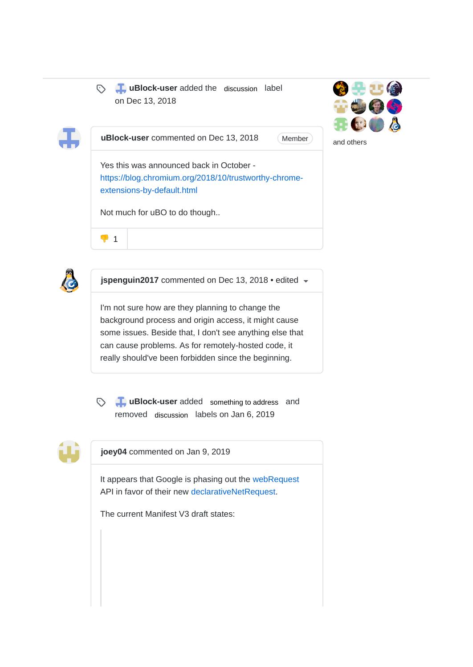

**b uBlock-user** added the discussion label on Dec 13, 2018



**uBlock-user** commented on Dec 13, 2018

Member

Yes this was announced back in October https://blog.chromium.org/2018/10/trustworthy-chromeextensions-by-default.html

Not much for uBO to do though..



**jspenguin2017** commented on Dec 13, 2018 • edited

I'm not sure how are they planning to change the background process and origin access, it might cause some issues. Beside that, I don't see anything else that can cause problems. As for remotely-hosted code, it really should've been forbidden since the beginning.



 $\begin{array}{cc} \bullet & 1 \end{array}$ 

**b uBlock-user** added something to address and removed discussion labels on Jan 6, 2019



**joey04** commented on Jan 9, 2019

It appears that Google is phasing out the webRequest API in favor of their new declarativeNetRequest.

The current Manifest V3 draft states: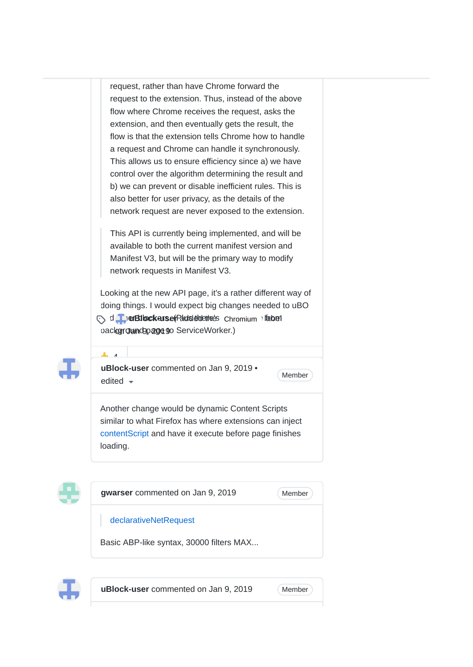request, rather than have Chrome forward the request to the extension. Thus, instead of the above flow where Chrome receives the request, asks the extension, and then eventually gets the result, the flow is that the extension tells Chrome how to handle a request and Chrome can handle it synchronously. This allows us to ensure efficiency since a) we have control over the algorithm determining the result and b) we can prevent or disable inefficient rules. This is also better for user privacy, as the details of the network request are never exposed to the extension.

This API is currently being implemented, and will be available to both the current manifest version and Manifest V3, but will be the primary way to modify network requests in Manifest V3.

Looking at the new API page, it's a rather different way of doing things. I would expect big changes needed to uBO and **TherBilockerse** (Palois de change from its of the change from  $\theta$  is the change of  $\theta$ backgroundpage to ServiceWorker.)



 $\mathbf{A}$ 

**uBlock-user** commented on Jan 9, 2019 • edited  $\bullet$  Member

Another change would be dynamic Content Scripts similar to what Firefox has where extensions can inject contentScript and have it execute before page finishes loading.







**uBlock-user** commented on Jan 9, 2019 (Member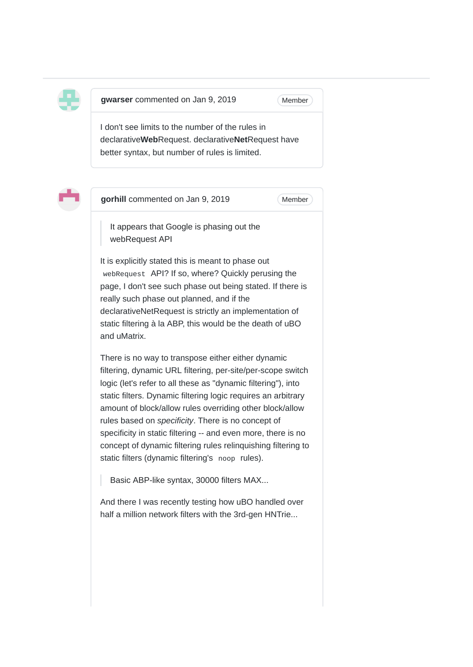

**gwarser** commented on Jan 9, 2019

**Member** 

I don't see limits to the number of the rules in declarative**Web**Request. declarative**Net**Request have better syntax, but number of rules is limited.



**gorhill** commented on Jan 9, 2019

**Member** 

It appears that Google is phasing out the webRequest API

It is explicitly stated this is meant to phase out webRequest API? If so, where? Quickly perusing the page, I don't see such phase out being stated. If there is really such phase out planned, and if the declarativeNetRequest is strictly an implementation of static filtering à la ABP, this would be the death of uBO and uMatrix.

There is no way to transpose either either dynamic filtering, dynamic URL filtering, per-site/per-scope switch logic (let's refer to all these as "dynamic filtering"), into static filters. Dynamic filtering logic requires an arbitrary amount of block/allow rules overriding other block/allow rules based on *specificity*. There is no concept of specificity in static filtering -- and even more, there is no concept of dynamic filtering rules relinquishing filtering to static filters (dynamic filtering's noop rules).

Basic ABP-like syntax, 30000 filters MAX...

And there I was recently testing how uBO handled over half a million network filters with the 3rd-gen HNTrie...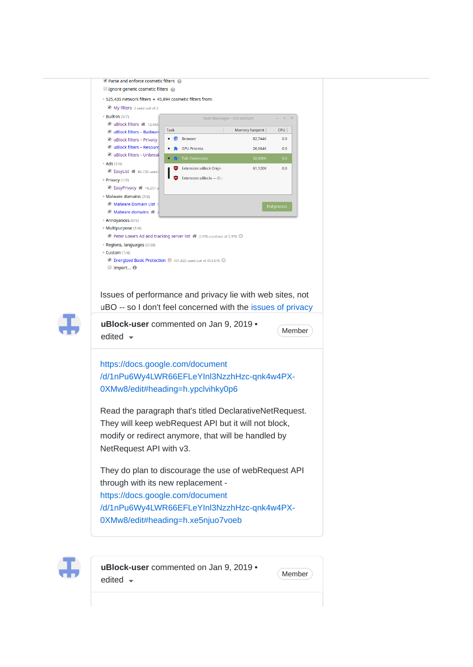| $\blacksquare$ Parse and enforce cosmetic filters $\blacksquare$                         |  |
|------------------------------------------------------------------------------------------|--|
| $\Box$ Ignore generic cosmetic filters $\oslash$                                         |  |
| + 525,435 network filters + 45,894 cosmetic filters from:                                |  |
| My filters 3 used out of 3                                                               |  |
| + Built-in (5/7)<br>$- + \times$<br>Task Manager - Chromium                              |  |
| U uBlock filters <a>12,986<br/><b>Task</b><br/>Memory footprint<br/>CPU</a>              |  |
| UBlock filters - Badward<br><b>Browser</b><br>82,744K<br>0.0<br>UBlock filters - Privacy |  |
| U uBlock filters - Resourc<br><b>GPU Process</b><br>26,064K<br>0.0                       |  |
| U uBlock filters - Unbreal                                                               |  |
| Tab: Extensions<br>32,600K<br>0.0<br>$+ Ads (1/4)$                                       |  |
| Extension: uBlock Origin<br>61,120K<br>0.0<br>Z EasyList & 86,735 used                   |  |
| Extension: uBlock <sub>o</sub> - Da<br>+ Privacy (1/3)                                   |  |
| <b>BasyPrivacy 4</b> 16,251 u                                                            |  |
| + Malware domains (2/4)                                                                  |  |
| Malware Domain List 1<br><b>End process</b><br>Malware domains <a></a>                   |  |
| + Annoyances (0/5)                                                                       |  |
| + Multipurpose (1/4)                                                                     |  |
| Peter Lowe's Ad and tracking server list <a> 2,976 used out of 2,976 <a></a></a>         |  |
| + Regions, languages (0/38)                                                              |  |
| + Custom (1/4)                                                                           |  |
| ■ Energized Basic Protection ■ 431,825 used out of 453,676 →                             |  |
| $\blacksquare$ Import $\blacksquare$                                                     |  |
|                                                                                          |  |
|                                                                                          |  |
|                                                                                          |  |
| Issues of performance and privacy lie with web sites, not                                |  |
|                                                                                          |  |
| uBO -- so I don't feel concerned with the issues of privacy                              |  |
| uBlock-user commented on Jan 9, 2019 •                                                   |  |
| Member                                                                                   |  |
| edited $\sim$                                                                            |  |
|                                                                                          |  |
|                                                                                          |  |
| https://docs.google.com/document                                                         |  |
| /d/1nPu6Wy4LWR66EFLeYInl3NzzhHzc-qnk4w4PX-                                               |  |
| 0XMw8/edit#heading=h.ypclvihky0p6                                                        |  |
|                                                                                          |  |
|                                                                                          |  |
| Read the paragraph that's titled DeclarativeNetRequest.                                  |  |
| They will keep webRequest API but it will not block,                                     |  |
|                                                                                          |  |
| modify or redirect anymore, that will be handled by                                      |  |
| NetRequest API with v3.                                                                  |  |
|                                                                                          |  |
| They do plan to discourage the use of webRequest API                                     |  |
|                                                                                          |  |
| through with its new replacement -                                                       |  |
| https://docs.google.com/document                                                         |  |
|                                                                                          |  |
| /d/1nPu6Wy4LWR66EFLeYInl3NzzhHzc-qnk4w4PX-                                               |  |
| 0XMw8/edit#heading=h.xe5njuo7voeb                                                        |  |



**uBlock-user** commented on Jan 9, 2019 • (Member)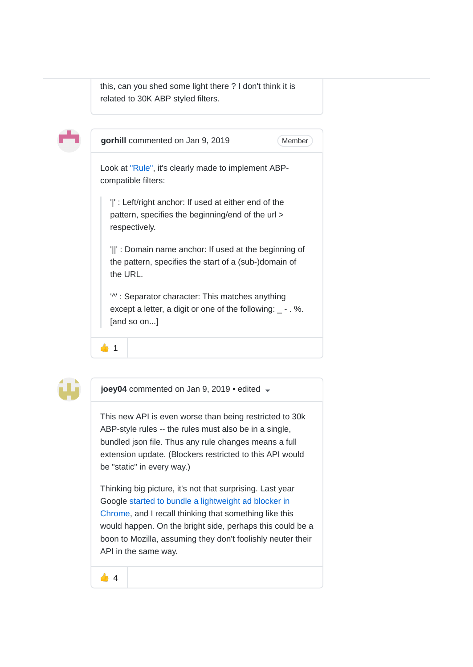this, can you shed some light there ? I don't think it is related to 30K ABP styled filters.





**joey04** commented on Jan 9, 2019 • edited

This new API is even worse than being restricted to 30k ABP-style rules -- the rules must also be in a single, bundled json file. Thus any rule changes means a full extension update. (Blockers restricted to this API would be "static" in every way.)

Thinking big picture, it's not that surprising. Last year Google started to bundle a lightweight ad blocker in Chrome, and I recall thinking that something like this would happen. On the bright side, perhaps this could be a boon to Mozilla, assuming they don't foolishly neuter their API in the same way.

44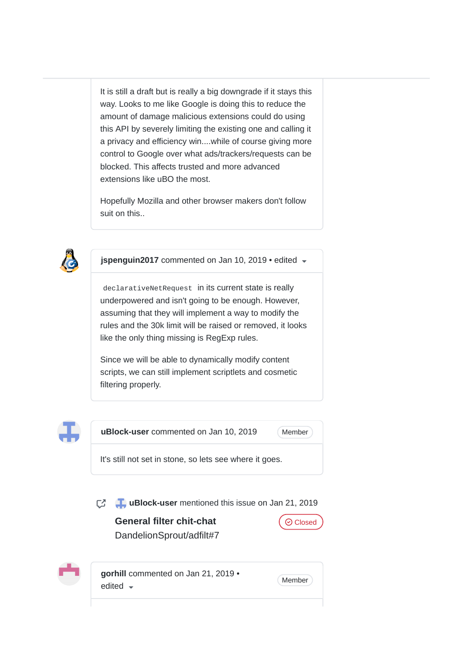It is still a draft but is really a big downgrade if it stays this way. Looks to me like Google is doing this to reduce the amount of damage malicious extensions could do using this API by severely limiting the existing one and calling it a privacy and efficiency win....while of course giving more control to Google over what ads/trackers/requests can be blocked. This affects trusted and more advanced extensions like uBO the most.

Hopefully Mozilla and other browser makers don't follow suit on this..



**jspenguin2017** commented on Jan 10, 2019 • edited

declarativeNetRequest in its current state is really underpowered and isn't going to be enough. However, assuming that they will implement a way to modify the rules and the 30k limit will be raised or removed, it looks like the only thing missing is RegExp rules.

Since we will be able to dynamically modify content scripts, we can still implement scriptlets and cosmetic filtering properly.



**uBlock-user** commented on Jan 10, 2019

Member

It's still not set in stone, so lets see where it goes.

**T** uBlock-user mentioned this issue on Jan 21, 2019

**General filter chit-chat** DandelionSprout/adfilt#7



**gorhill** commented on Jan 21, 2019 • Member edited  $\sqrt{ }$ 

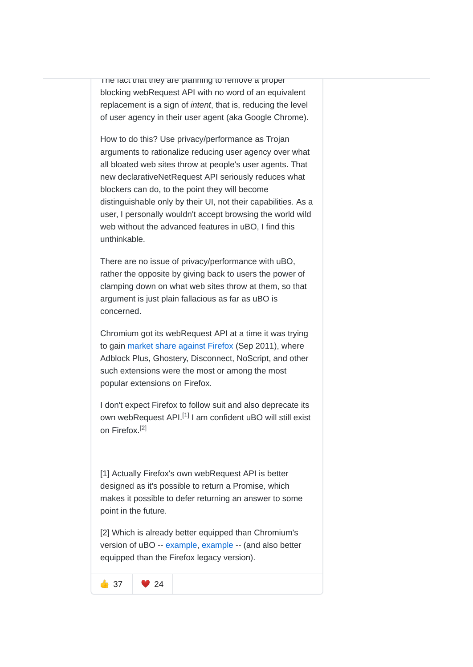The fact that they are planning to remove a proper blocking webRequest API with no word of an equivalent replacement is a sign of *intent*, that is, reducing the level of user agency in their user agent (aka Google Chrome).

How to do this? Use privacy/performance as Trojan arguments to rationalize reducing user agency over what all bloated web sites throw at people's user agents. That new declarativeNetRequest API seriously reduces what blockers can do, to the point they will become distinguishable only by their UI, not their capabilities. As a user, I personally wouldn't accept browsing the world wild web without the advanced features in uBO, I find this unthinkable.

There are no issue of privacy/performance with uBO, rather the opposite by giving back to users the power of clamping down on what web sites throw at them, so that argument is just plain fallacious as far as uBO is concerned.

Chromium got its webRequest API at a time it was trying to gain market share against Firefox (Sep 2011), where Adblock Plus, Ghostery, Disconnect, NoScript, and other such extensions were the most or among the most popular extensions on Firefox.

I don't expect Firefox to follow suit and also deprecate its own webRequest API.<sup>[1]</sup> I am confident uBO will still exist on Firefox.<sup>[2]</sup>

[1] Actually Firefox's own webRequest API is better designed as it's possible to return a Promise, which makes it possible to defer returning an answer to some point in the future.

[2] Which is already better equipped than Chromium's version of uBO -- example, example -- (and also better equipped than the Firefox legacy version).

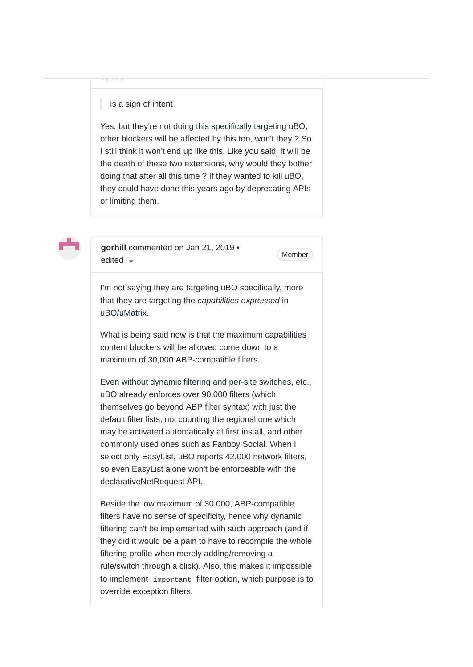### is a sign of intent

edited

Yes, but they're not doing this specifically targeting uBO, other blockers will be affected by this too, won't they ? So I still think it won't end up like this. Like you said, it will be the death of these two extensions, why would they bother doing that after all this time ? If they wanted to kill uBO, they could have done this years ago by deprecating APIs or limiting them.



**gorhill** commented on Jan 21, 2019 •  $\bullet$  Member edited  $\bullet$ 

I'm not saying they are targeting uBO specifically, more that they are targeting the *capabilities expressed* in uBO/uMatrix.

What is being said now is that the maximum capabilities content blockers will be allowed come down to a maximum of 30,000 ABP-compatible filters.

Even without dynamic filtering and per-site switches, etc., uBO already enforces over 90,000 filters (which themselves go beyond ABP filter syntax) with just the default filter lists, not counting the regional one which may be activated automatically at first install, and other commonly used ones such as Fanboy Social. When I select only EasyList, uBO reports 42,000 network filters, so even EasyList alone won't be enforceable with the declarativeNetRequest API.

Beside the low maximum of 30,000, ABP-compatible filters have no sense of specificity, hence why dynamic filtering can't be implemented with such approach (and if they did it would be a pain to have to recompile the whole filtering profile when merely adding/removing a rule/switch through a click). Also, this makes it impossible to implement important filter option, which purpose is to override exception filters.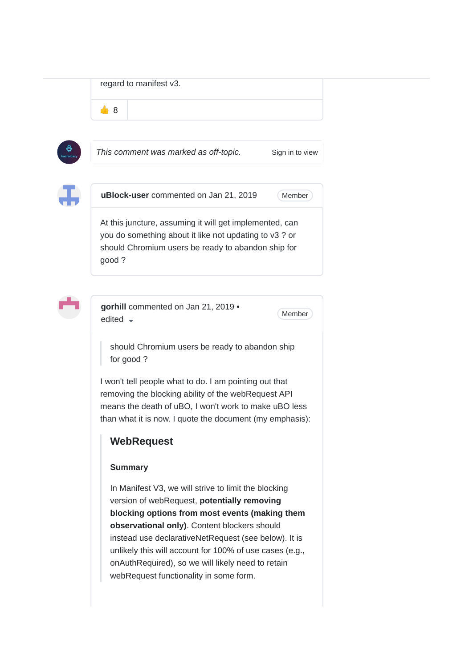regard to manifest v3.

48



*This comment was marked as off-topic.* Sign in to view



**uBlock-user** commented on Jan 21, 2019

**Member** 

At this juncture, assuming it will get implemented, can you do something about it like not updating to v3 ? or should Chromium users be ready to abandon ship for good ?



**gorhill** commented on Jan 21, 2019 •  $\bullet$  Member edited  $\bullet$ 

should Chromium users be ready to abandon ship for good ?

I won't tell people what to do. I am pointing out that removing the blocking ability of the webRequest API means the death of uBO, I won't work to make uBO less than what it is now. I quote the document (my emphasis):

# **WebRequest**

### **Summary**

In Manifest V3, we will strive to limit the blocking version of webRequest, **potentially removing blocking options from most events (making them observational only)**. Content blockers should instead use declarativeNetRequest (see below). It is unlikely this will account for 100% of use cases (e.g., onAuthRequired), so we will likely need to retain webRequest functionality in some form.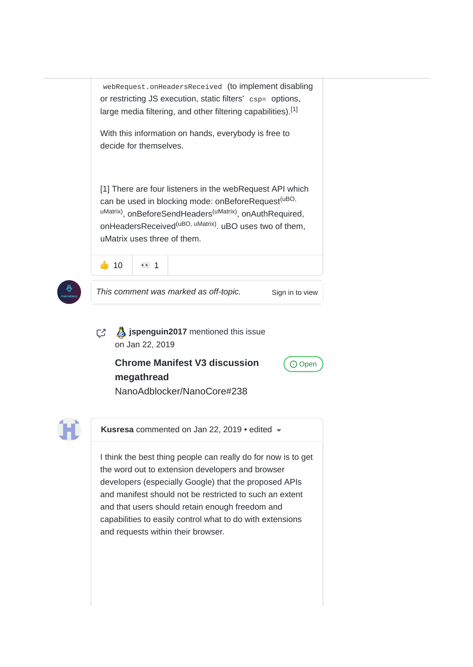webRequest.onHeadersReceived (to implement disabling or restricting JS execution, static filters' csp= options, large media filtering, and other filtering capabilities).<sup>[1]</sup> With this information on hands, everybody is free to decide for themselves. [1] There are four listeners in the webRequest API which can be used in blocking mode: onBeforeRequest<sup>(uBO,</sup> <sup>uMatrix)</sup>, onBeforeSendHeaders<sup>(uMatrix)</sup>, onAuthRequired, onHeadersReceived<sup>(uBO, uMatrix)</sup>. uBO uses two of them, uMatrix uses three of them.



*This comment was marked as off-topic.* Sign in to view

**J** ispenguin2017 mentioned this issue on Jan 22, 2019

## **Chrome Manifest V3 discussion megathread** NanoAdblocker/NanoCore#238

⊙ Open

**Kusresa** commented on Jan 22, 2019 • edited

I think the best thing people can really do for now is to get the word out to extension developers and browser developers (especially Google) that the proposed APIs and manifest should not be restricted to such an extent and that users should retain enough freedom and capabilities to easily control what to do with extensions and requests within their browser.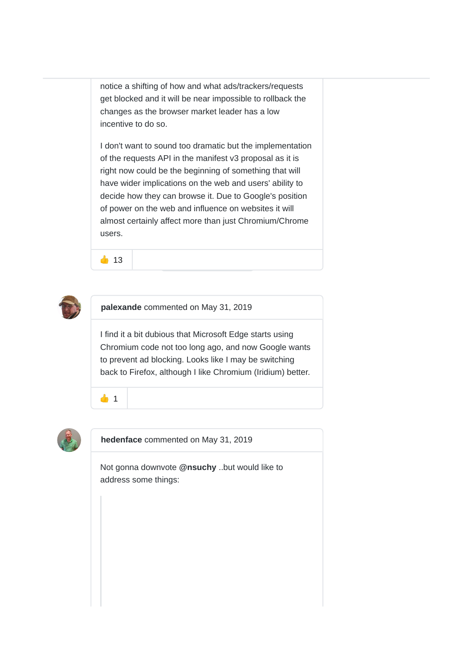notice a shifting of how and what ads/trackers/requests get blocked and it will be near impossible to rollback the changes as the browser market leader has a low incentive to do so.

I don't want to sound too dramatic but the implementation of the requests API in the manifest v3 proposal as it is right now could be the beginning of something that will have wider implications on the web and users' ability to decide how they can browse it. Due to Google's position of power on the web and influence on websites it will almost certainly affect more than just Chromium/Chrome users.

 $\bullet$  13



**palexande** commented on May 31, 2019

I find it a bit dubious that Microsoft Edge starts using Chromium code not too long ago, and now Google wants to prevent ad blocking. Looks like I may be switching back to Firefox, although I like Chromium (Iridium) better.





**hedenface** commented on May 31, 2019

Not gonna downvote **@nsuchy** ..but would like to address some things: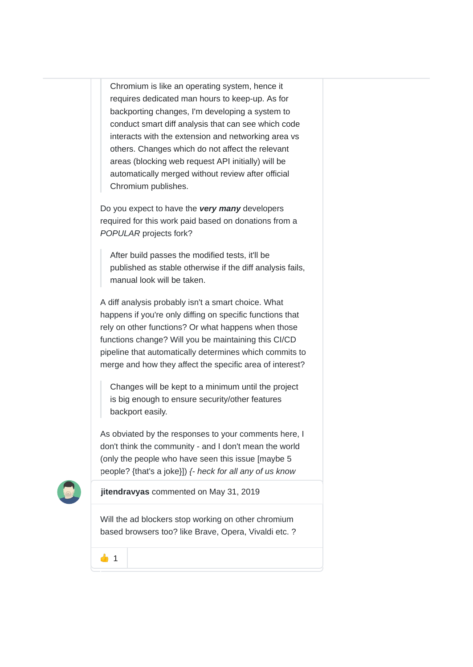Chromium is like an operating system, hence it requires dedicated man hours to keep-up. As for backporting changes, I'm developing a system to conduct smart diff analysis that can see which code interacts with the extension and networking area vs others. Changes which do not affect the relevant areas (blocking web request API initially) will be automatically merged without review after official Chromium publishes.

Do you expect to have the *very many* developers required for this work paid based on donations from a *POPULAR* projects fork?

After build passes the modified tests, it'll be published as stable otherwise if the diff analysis fails, manual look will be taken.

A diff analysis probably isn't a smart choice. What happens if you're only diffing on specific functions that rely on other functions? Or what happens when those functions change? Will you be maintaining this CI/CD pipeline that automatically determines which commits to merge and how they affect the specific area of interest?

Changes will be kept to a minimum until the project is big enough to ensure security/other features backport easily.

As obviated by the responses to your comments here, I don't think the community - and I don't mean the world (only the people who have seen this issue [maybe 5 people? {that's a joke}]) *{- heck for all any of us know*



**jitendravyas** commented on May 31, 2019

Will the ad blockers stop working on other chromium based browsers too? like Brave, Opera, Vivaldi etc. ?

 $41$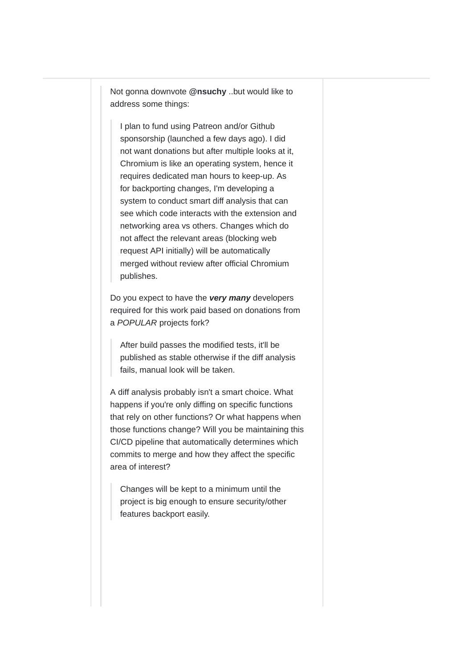Not gonna downvote **@nsuchy** ..but would like to address some things:

I plan to fund using Patreon and/or Github sponsorship (launched a few days ago). I did not want donations but after multiple looks at it, Chromium is like an operating system, hence it requires dedicated man hours to keep-up. As for backporting changes, I'm developing a system to conduct smart diff analysis that can see which code interacts with the extension and networking area vs others. Changes which do not affect the relevant areas (blocking web request API initially) will be automatically merged without review after official Chromium publishes.

Do you expect to have the *very many* developers required for this work paid based on donations from a *POPULAR* projects fork?

After build passes the modified tests, it'll be published as stable otherwise if the diff analysis fails, manual look will be taken.

A diff analysis probably isn't a smart choice. What happens if you're only diffing on specific functions that rely on other functions? Or what happens when those functions change? Will you be maintaining this CI/CD pipeline that automatically determines which commits to merge and how they affect the specific area of interest?

Changes will be kept to a minimum until the project is big enough to ensure security/other features backport easily.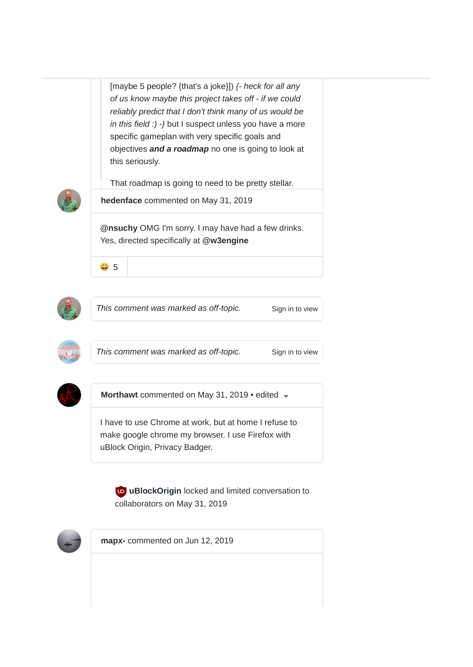[maybe 5 people? {that's a joke}]) *{- heck for all any of us know maybe this project takes off - if we could reliably predict that I don't think many of us would be in this field :) -}* but I suspect unless you have a more specific gameplan with very specific goals and objectives *and a roadmap* no one is going to look at this seriously.

That roadmap is going to need to be pretty stellar.



**hedenface** commented on May 31, 2019

@nsuchy OMG I'm sorry. I may have had a few drinks. Yes, directed specifically at **@w3engine**





*This comment was marked as off-topic.* Sign in to view



This comment was marked as off-topic. Sign in to view



**Morthawt** commented on May 31, 2019 • edited

I have to use Chrome at work, but at home I refuse to make google chrome my browser. I use Firefox with uBlock Origin, Privacy Badger.

**uBlockOrigin** locked and limited conversation to collaborators on May 31, 2019



**mapx-** commented on Jun 12, 2019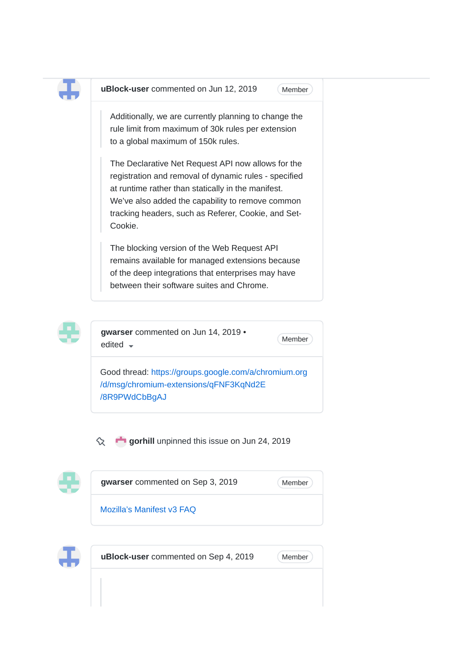

**uBlock-user** commented on Jun 12, 2019

Member

Additionally, we are currently planning to change the rule limit from maximum of 30k rules per extension to a global maximum of 150k rules.

The Declarative Net Request API now allows for the registration and removal of dynamic rules - specified at runtime rather than statically in the manifest. We've also added the capability to remove common tracking headers, such as Referer, Cookie, and Set-Cookie.

The blocking version of the Web Request API remains available for managed extensions because of the deep integrations that enterprises may have between their software suites and Chrome.



**gwarser** commented on Jun 14, 2019 •  $\bullet$  Member edited  $\bullet$ 

Good thread: https://groups.google.com/a/chromium.org /d/msg/chromium-extensions/qFNF3KqNd2E /8R9PWdCbBgAJ

 $\infty$ **gorhill** unpinned this issue on Jun 24, 2019



**gwarser** commented on Sep 3, 2019

**Member** 

Mozilla's Manifest v3 FAQ



**uBlock-user** commented on Sep 4, 2019 (Member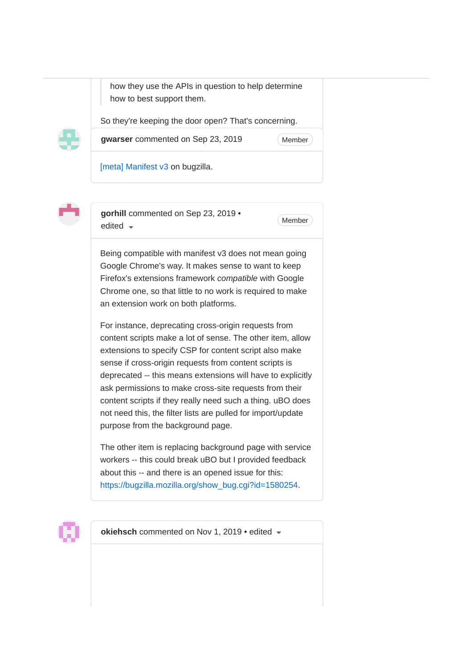how they use the APIs in question to help determine how to best support them.

So they're keeping the door open? That's concerning.



**gwarser** commented on Sep 23, 2019

Member<sup>)</sup>

[meta] Manifest v3 on bugzilla.



**gorhill** commented on Sep 23, 2019 •  $\bullet$  Member edited  $\bullet$ 

Being compatible with manifest v3 does not mean going Google Chrome's way. It makes sense to want to keep Firefox's extensions framework *compatible* with Google Chrome one, so that little to no work is required to make an extension work on both platforms.

For instance, deprecating cross-origin requests from content scripts make a lot of sense. The other item, allow extensions to specify CSP for content script also make sense if cross-origin requests from content scripts is deprecated -- this means extensions will have to explicitly ask permissions to make cross-site requests from their content scripts if they really need such a thing. uBO does not need this, the filter lists are pulled for import/update purpose from the background page.

The other item is replacing background page with service workers -- this could break uBO but I provided feedback about this -- and there is an opened issue for this: https://bugzilla.mozilla.org/show\_bug.cgi?id=1580254.



**okiehsch** commented on Nov 1, 2019 • edited  $\sim$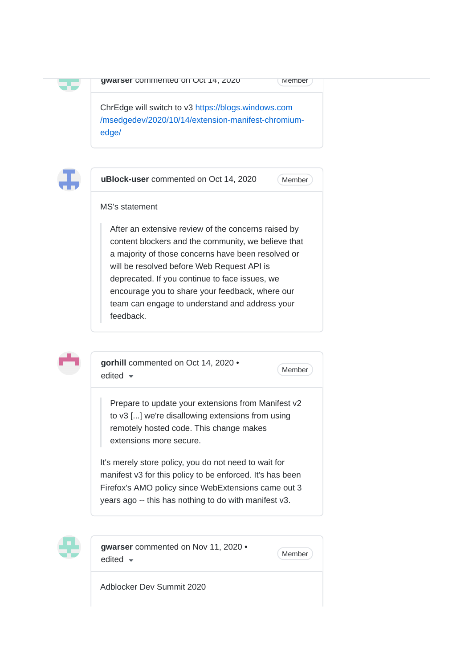|--|

```
Member
```
ChrEdge will switch to v3 https://blogs.windows.com /msedgedev/2020/10/14/extension-manifest-chromiumedge/

**14, 2020** 



25

**uBlock-user** commented on Oct 14, 2020

**Member** 

### MS's statement

After an extensive review of the concerns raised by content blockers and the community, we believe that a majority of those concerns have been resolved or will be resolved before Web Request API is deprecated. If you continue to face issues, we encourage you to share your feedback, where our team can engage to understand and address your feedback.



**gorhill** commented on Oct 14, 2020 •  $\bullet$  Member edited  $\bullet$ 

Prepare to update your extensions from Manifest v2 to v3 [...] we're disallowing extensions from using remotely hosted code. This change makes extensions more secure.

It's merely store policy, you do not need to wait for manifest v3 for this policy to be enforced. It's has been Firefox's AMO policy since WebExtensions came out 3 years ago -- this has nothing to do with manifest v3.



**gwarser** commented on Nov 11, 2020 •  $\bullet$  Member edited  $\bullet$ 

Adblocker Dev Summit 2020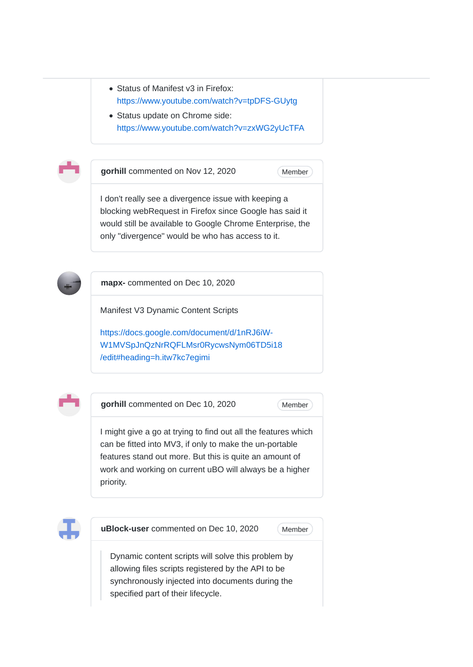- Status of Manifest v3 in Firefox: https://www.youtube.com/watch?v=tpDFS-GUytg
- Status update on Chrome side: https://www.youtube.com/watch?v=zxWG2yUcTFA



**gorhill** commented on Nov 12, 2020

Member<sup>)</sup>

I don't really see a divergence issue with keeping a blocking webRequest in Firefox since Google has said it would still be available to Google Chrome Enterprise, the only "divergence" would be who has access to it.



**mapx-** commented on Dec 10, 2020

Manifest V3 Dynamic Content Scripts

https://docs.google.com/document/d/1nRJ6iW-W1MVSpJnQzNrRQFLMsr0RycwsNym06TD5i18 /edit#heading=h.itw7kc7egimi



**gorhill** commented on Dec 10, 2020

Member<sup>)</sup>

I might give a go at trying to find out all the features which can be fitted into MV3, if only to make the un-portable features stand out more. But this is quite an amount of work and working on current uBO will always be a higher priority.



**uBlock-user** commented on Dec 10, 2020

Member<sup>)</sup>

Dynamic content scripts will solve this problem by allowing files scripts registered by the API to be synchronously injected into documents during the specified part of their lifecycle.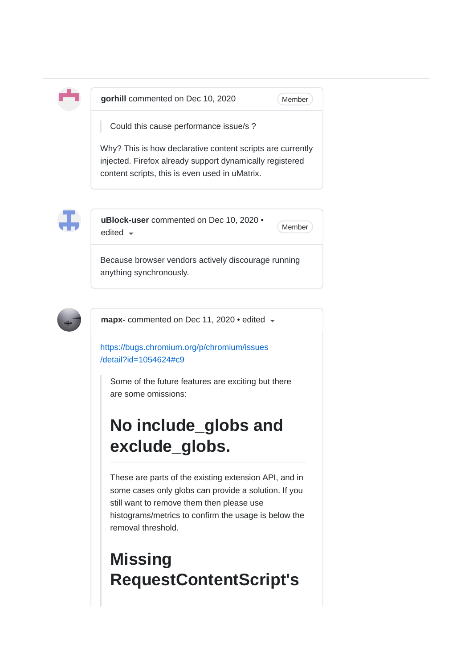

**gorhill** commented on Dec 10, 2020

Member

Could this cause performance issue/s ?

Why? This is how declarative content scripts are currently injected. Firefox already support dynamically registered content scripts, this is even used in uMatrix.



**uBlock-user** commented on Dec 10, 2020 • edited  $\bullet$  Member

Because browser vendors actively discourage running anything synchronously.



**mapx-** commented on Dec 11, 2020 • edited

https://bugs.chromium.org/p/chromium/issues /detail?id=1054624#c9

Some of the future features are exciting but there are some omissions:

# **No include\_globs and exclude\_globs.**

These are parts of the existing extension API, and in some cases only globs can provide a solution. If you still want to remove them then please use histograms/metrics to confirm the usage is below the removal threshold.

# **Missing RequestContentScript's**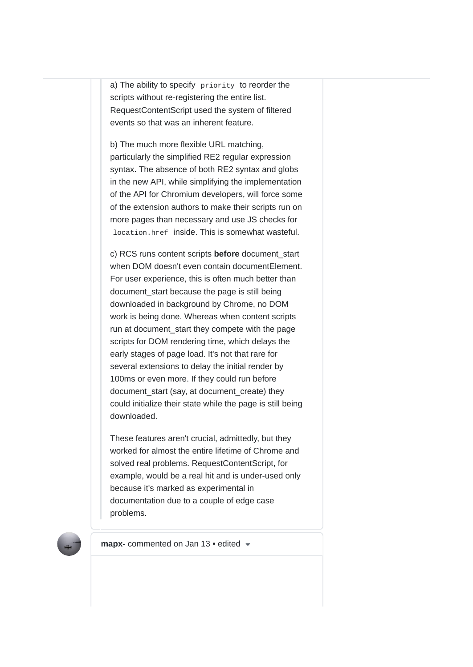a) The ability to specify priority to reorder the scripts without re-registering the entire list. RequestContentScript used the system of filtered events so that was an inherent feature.

b) The much more flexible URL matching, particularly the simplified RE2 regular expression syntax. The absence of both RE2 syntax and globs in the new API, while simplifying the implementation of the API for Chromium developers, will force some of the extension authors to make their scripts run on more pages than necessary and use JS checks for location.href inside. This is somewhat wasteful.

c) RCS runs content scripts **before** document\_start when DOM doesn't even contain documentElement. For user experience, this is often much better than document start because the page is still being downloaded in background by Chrome, no DOM work is being done. Whereas when content scripts run at document start they compete with the page scripts for DOM rendering time, which delays the early stages of page load. It's not that rare for several extensions to delay the initial render by 100ms or even more. If they could run before document\_start (say, at document\_create) they could initialize their state while the page is still being downloaded.

These features aren't crucial, admittedly, but they worked for almost the entire lifetime of Chrome and solved real problems. RequestContentScript, for example, would be a real hit and is under-used only because it's marked as experimental in documentation due to a couple of edge case problems.



**mapx-** commented on Jan 13 • edited